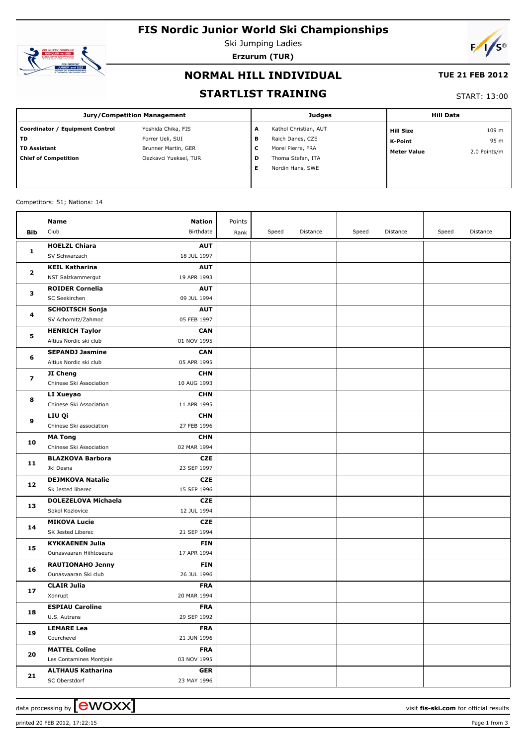# **FIS Nordic Junior World Ski Championships**



Ski Jumping Ladies **Erzurum (TUR)**



### **NORMAL HILL INDIVIDUAL**

#### **TUE 21 FEB 2012**

#### **STARTLIST TRAINING**

#### START: 13:00

| Jury/Competition Management     |                       |   | <b>Judges</b>         | <b>Hill Data</b>   |              |  |
|---------------------------------|-----------------------|---|-----------------------|--------------------|--------------|--|
| Coordinator / Equipment Control | Yoshida Chika, FIS    | A | Kathol Christian, AUT | <b>Hill Size</b>   | 109 m        |  |
| l TD                            | Forrer Ueli, SUI      | в | Raich Danes, CZE      | K-Point            | 95 m         |  |
| l TD Assistant                  | Brunner Martin, GER   | c | Morel Pierre, FRA     | <b>Meter Value</b> | 2.0 Points/m |  |
| Chief of Competition            | Oezkavci Yueksel, TUR | D | Thoma Stefan, ITA     |                    |              |  |
|                                 |                       | Е | Nordin Hans, SWE      |                    |              |  |
|                                 |                       |   |                       |                    |              |  |

#### Competitors: 51; Nations: 14

|                         | Name                                         | Nation                    | Points |       |          |       |          |       |          |
|-------------------------|----------------------------------------------|---------------------------|--------|-------|----------|-------|----------|-------|----------|
| Bib                     | Club                                         | Birthdate                 | Rank   | Speed | Distance | Speed | Distance | Speed | Distance |
|                         | <b>HOELZL Chiara</b>                         | <b>AUT</b>                |        |       |          |       |          |       |          |
| 1                       | SV Schwarzach                                | 18 JUL 1997               |        |       |          |       |          |       |          |
| 2<br>з                  | <b>KEIL Katharina</b>                        | <b>AUT</b>                |        |       |          |       |          |       |          |
|                         | NST Salzkammergut                            | 19 APR 1993               |        |       |          |       |          |       |          |
|                         | <b>ROIDER Cornelia</b>                       | <b>AUT</b>                |        |       |          |       |          |       |          |
|                         | SC Seekirchen                                | 09 JUL 1994               |        |       |          |       |          |       |          |
| 4                       | <b>SCHOITSCH Sonja</b>                       | <b>AUT</b>                |        |       |          |       |          |       |          |
|                         | SV Achomitz/Zahmoc                           | 05 FEB 1997               |        |       |          |       |          |       |          |
|                         | <b>HENRICH Taylor</b>                        | <b>CAN</b>                |        |       |          |       |          |       |          |
| 5                       | Altius Nordic ski club                       | 01 NOV 1995               |        |       |          |       |          |       |          |
| 6                       | <b>SEPANDJ Jasmine</b>                       | <b>CAN</b>                |        |       |          |       |          |       |          |
|                         | Altius Nordic ski club                       | 05 APR 1995               |        |       |          |       |          |       |          |
| $\overline{\mathbf{z}}$ | JI Cheng                                     | <b>CHN</b>                |        |       |          |       |          |       |          |
|                         | Chinese Ski Association                      | 10 AUG 1993               |        |       |          |       |          |       |          |
| 8                       | LI Xueyao                                    | <b>CHN</b>                |        |       |          |       |          |       |          |
|                         | Chinese Ski Association                      | 11 APR 1995               |        |       |          |       |          |       |          |
| 9                       | LIU Qi                                       | <b>CHN</b>                |        |       |          |       |          |       |          |
|                         | Chinese Ski association                      | 27 FEB 1996               |        |       |          |       |          |       |          |
| 10                      | <b>MA Tong</b>                               | <b>CHN</b>                |        |       |          |       |          |       |          |
|                         | Chinese Ski Association                      | 02 MAR 1994               |        |       |          |       |          |       |          |
| 11                      | <b>BLAZKOVA Barbora</b>                      | <b>CZE</b>                |        |       |          |       |          |       |          |
|                         | Jkl Desna                                    | 23 SEP 1997               |        |       |          |       |          |       |          |
| 12                      | <b>DEJMKOVA Natalie</b><br>Sk Jested liberec | <b>CZE</b><br>15 SEP 1996 |        |       |          |       |          |       |          |
|                         | <b>DOLEZELOVA Michaela</b>                   | <b>CZE</b>                |        |       |          |       |          |       |          |
| 13                      | Sokol Kozlovice                              | 12 JUL 1994               |        |       |          |       |          |       |          |
|                         | <b>MIKOVA Lucie</b>                          | <b>CZE</b>                |        |       |          |       |          |       |          |
| 14                      | SK Jested Liberec                            | 21 SEP 1994               |        |       |          |       |          |       |          |
|                         | <b>KYKKAENEN Julia</b>                       | <b>FIN</b>                |        |       |          |       |          |       |          |
| 15                      | Ounasvaaran Hiihtoseura                      | 17 APR 1994               |        |       |          |       |          |       |          |
|                         | <b>RAUTIONAHO Jenny</b>                      | <b>FIN</b>                |        |       |          |       |          |       |          |
| 16                      | Ounasvaaran Ski club                         | 26 JUL 1996               |        |       |          |       |          |       |          |
|                         | <b>CLAIR Julia</b>                           | <b>FRA</b>                |        |       |          |       |          |       |          |
| 17                      | Xonrupt                                      | 20 MAR 1994               |        |       |          |       |          |       |          |
|                         | <b>ESPIAU Caroline</b>                       | <b>FRA</b>                |        |       |          |       |          |       |          |
| 18                      | U.S. Autrans                                 | 29 SEP 1992               |        |       |          |       |          |       |          |
|                         | <b>LEMARE Lea</b>                            | <b>FRA</b>                |        |       |          |       |          |       |          |
| 19                      | Courchevel                                   | 21 JUN 1996               |        |       |          |       |          |       |          |
|                         | <b>MATTEL Coline</b>                         | <b>FRA</b>                |        |       |          |       |          |       |          |
| 20                      | Les Contamines Montjoie                      | 03 NOV 1995               |        |       |          |       |          |       |          |
| 21                      | <b>ALTHAUS Katharina</b>                     | <b>GER</b>                |        |       |          |       |          |       |          |
|                         | SC Oberstdorf                                | 23 MAY 1996               |        |       |          |       |          |       |          |

printed 20 FEB 2012, 17:22:15 Page 1 from 3

data processing by **CWOXX**  $\blacksquare$  and  $\blacksquare$  and  $\blacksquare$  and  $\blacksquare$  and  $\blacksquare$  and  $\blacksquare$  and  $\blacksquare$  and  $\blacksquare$  and  $\blacksquare$  and  $\blacksquare$  and  $\blacksquare$  and  $\blacksquare$  and  $\blacksquare$  and  $\blacksquare$  and  $\blacksquare$  and  $\blacksquare$  and  $\blacksquare$  and  $\blacksquare$  a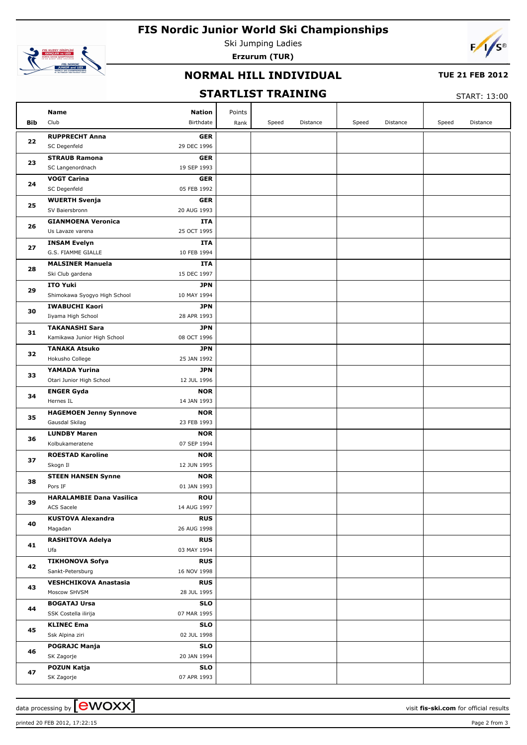# **FIS Nordic Junior World Ski Championships**



Ski Jumping Ladies **Erzurum (TUR)**



### **NORMAL HILL INDIVIDUAL**

#### **TUE 21 FEB 2012**

## **STARTLIST TRAINING**

START: 13:00

|            | Name                            | <b>Nation</b> | Points |       |          |       |          |       |          |
|------------|---------------------------------|---------------|--------|-------|----------|-------|----------|-------|----------|
| <b>Bib</b> | Club                            | Birthdate     | Rank   | Speed | Distance | Speed | Distance | Speed | Distance |
| 22         | <b>RUPPRECHT Anna</b>           | <b>GER</b>    |        |       |          |       |          |       |          |
|            | SC Degenfeld                    | 29 DEC 1996   |        |       |          |       |          |       |          |
| 23         | <b>STRAUB Ramona</b>            | <b>GER</b>    |        |       |          |       |          |       |          |
|            | SC Langenordnach                | 19 SEP 1993   |        |       |          |       |          |       |          |
| 24         | <b>VOGT Carina</b>              | <b>GER</b>    |        |       |          |       |          |       |          |
|            | SC Degenfeld                    | 05 FEB 1992   |        |       |          |       |          |       |          |
| 25         | <b>WUERTH Svenja</b>            | <b>GER</b>    |        |       |          |       |          |       |          |
|            | SV Baiersbronn                  | 20 AUG 1993   |        |       |          |       |          |       |          |
| 26         | <b>GIANMOENA Veronica</b>       | ITA           |        |       |          |       |          |       |          |
|            | Us Lavaze varena                | 25 OCT 1995   |        |       |          |       |          |       |          |
| 27         | <b>INSAM Evelyn</b>             | ITA           |        |       |          |       |          |       |          |
|            | G.S. FIAMME GIALLE              | 10 FEB 1994   |        |       |          |       |          |       |          |
| 28         | <b>MALSINER Manuela</b>         | ITA           |        |       |          |       |          |       |          |
|            | Ski Club gardena                | 15 DEC 1997   |        |       |          |       |          |       |          |
| 29         | <b>ITO Yuki</b>                 | <b>JPN</b>    |        |       |          |       |          |       |          |
|            | Shimokawa Syogyo High School    | 10 MAY 1994   |        |       |          |       |          |       |          |
| 30         | <b>IWABUCHI Kaori</b>           | <b>JPN</b>    |        |       |          |       |          |       |          |
|            | Iiyama High School              | 28 APR 1993   |        |       |          |       |          |       |          |
| 31         | <b>TAKANASHI Sara</b>           | <b>JPN</b>    |        |       |          |       |          |       |          |
|            | Kamikawa Junior High School     | 08 OCT 1996   |        |       |          |       |          |       |          |
| 32         | <b>TANAKA Atsuko</b>            | <b>JPN</b>    |        |       |          |       |          |       |          |
| 33         | Hokusho College                 | 25 JAN 1992   |        |       |          |       |          |       |          |
|            | YAMADA Yurina                   | <b>JPN</b>    |        |       |          |       |          |       |          |
|            | Otari Junior High School        | 12 JUL 1996   |        |       |          |       |          |       |          |
| 34         | <b>ENGER Gyda</b>               | <b>NOR</b>    |        |       |          |       |          |       |          |
|            | Hernes IL                       | 14 JAN 1993   |        |       |          |       |          |       |          |
| 35         | <b>HAGEMOEN Jenny Synnove</b>   | <b>NOR</b>    |        |       |          |       |          |       |          |
|            | Gausdal Skilag                  | 23 FEB 1993   |        |       |          |       |          |       |          |
| 36         | <b>LUNDBY Maren</b>             | <b>NOR</b>    |        |       |          |       |          |       |          |
|            | Kolbukameratene                 | 07 SEP 1994   |        |       |          |       |          |       |          |
| 37         | <b>ROESTAD Karoline</b>         | <b>NOR</b>    |        |       |          |       |          |       |          |
|            | Skogn Il                        | 12 JUN 1995   |        |       |          |       |          |       |          |
| 38         | <b>STEEN HANSEN Synne</b>       | <b>NOR</b>    |        |       |          |       |          |       |          |
|            | Pors IF                         | 01 JAN 1993   |        |       |          |       |          |       |          |
| 39         | <b>HARALAMBIE Dana Vasilica</b> | <b>ROU</b>    |        |       |          |       |          |       |          |
|            | ACS Sacele                      | 14 AUG 1997   |        |       |          |       |          |       |          |
| 40         | <b>KUSTOVA Alexandra</b>        | <b>RUS</b>    |        |       |          |       |          |       |          |
|            | Magadan                         | 26 AUG 1998   |        |       |          |       |          |       |          |
| 41         | <b>RASHITOVA Adelya</b>         | <b>RUS</b>    |        |       |          |       |          |       |          |
|            | Ufa                             | 03 MAY 1994   |        |       |          |       |          |       |          |
| 42         | <b>TIKHONOVA Sofya</b>          | <b>RUS</b>    |        |       |          |       |          |       |          |
|            | Sankt-Petersburg                | 16 NOV 1998   |        |       |          |       |          |       |          |
| 43         | <b>VESHCHIKOVA Anastasia</b>    | <b>RUS</b>    |        |       |          |       |          |       |          |
|            | Moscow SHVSM                    | 28 JUL 1995   |        |       |          |       |          |       |          |
| 44         | <b>BOGATAJ Ursa</b>             | <b>SLO</b>    |        |       |          |       |          |       |          |
|            | SSK Costella ilirija            | 07 MAR 1995   |        |       |          |       |          |       |          |
| 45         | <b>KLINEC Ema</b>               | <b>SLO</b>    |        |       |          |       |          |       |          |
|            | Ssk Alpina ziri                 | 02 JUL 1998   |        |       |          |       |          |       |          |
| 46         | <b>POGRAJC Manja</b>            | <b>SLO</b>    |        |       |          |       |          |       |          |
|            | SK Zagorje                      | 20 JAN 1994   |        |       |          |       |          |       |          |
| 47         | <b>POZUN Katja</b>              | <b>SLO</b>    |        |       |          |       |          |       |          |
|            | SK Zagorje                      | 07 APR 1993   |        |       |          |       |          |       |          |

printed 20 FEB 2012, 17:22:15 Page 2 from 3